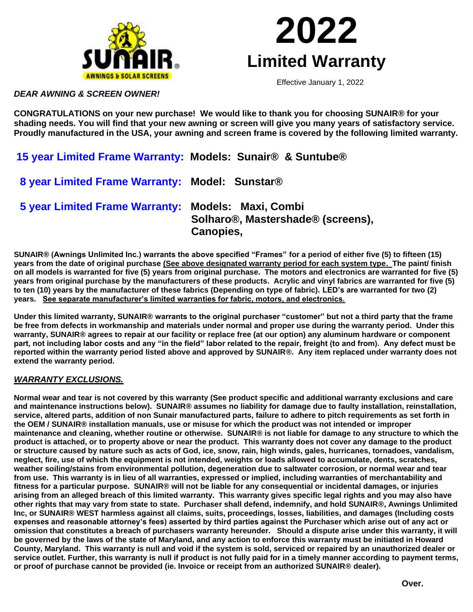



Effective January 1, 2022

*DEAR AWNING & SCREEN OWNER!*

**CONGRATULATIONS on your new purchase! We would like to thank you for choosing SUNAIR® for your shading needs. You will find that your new awning or screen will give you many years of satisfactory service. Proudly manufactured in the USA, your awning and screen frame is covered by the following limited warranty.**

**15 year Limited Frame Warranty: Models: Sunair® & Suntube®** 

 **8 year Limited Frame Warranty: Model: Sunstar®** 

 **5 year Limited Frame Warranty: Models: Maxi, Combi Solharo®, Mastershade® (screens), Canopies,** 

**SUNAIR® (Awnings Unlimited Inc.) warrants the above specified "Frames" for a period of either five (5) to fifteen (15) years from the date of original purchase (See above designated warranty period for each system type. The paint/ finish on all models is warranted for five (5) years from original purchase. The motors and electronics are warranted for five (5) years from original purchase by the manufacturers of these products. Acrylic and vinyl fabrics are warranted for five (5) to ten (10) years by the manufacturer of these fabrics (Depending on type of fabric). LED's are warranted for two (2) years. See separate manufacturer's limited warranties for fabric, motors, and electronics.**

**Under this limited warranty, SUNAIR® warrants to the original purchaser "customer" but not a third party that the frame be free from defects in workmanship and materials under normal and proper use during the warranty period. Under this warranty, SUNAIR® agrees to repair at our facility or replace free (at our option) any aluminum hardware or component part, not including labor costs and any "in the field" labor related to the repair, freight (to and from). Any defect must be reported within the warranty period listed above and approved by SUNAIR®. Any item replaced under warranty does not extend the warranty period.**

## *WARRANTY EXCLUSIONS.*

**Normal wear and tear is not covered by this warranty (See product specific and additional warranty exclusions and care and maintenance instructions below). SUNAIR® assumes no liability for damage due to faulty installation, reinstallation, service, altered parts, addition of non Sunair manufactured parts, failure to adhere to pitch requirements as set forth in the OEM / SUNAIR® installation manuals, use or misuse for which the product was not intended or improper maintenance and cleaning, whether routine or otherwise. SUNAIR® is not liable for damage to any structure to which the product is attached, or to property above or near the product. This warranty does not cover any damage to the product or structure caused by nature such as acts of God, ice, snow, rain, high winds, gales, hurricanes, tornadoes, vandalism, neglect, fire, use of which the equipment is not intended, weights or loads allowed to accumulate, dents, scratches, weather soiling/stains from environmental pollution, degeneration due to saltwater corrosion, or normal wear and tear from use. This warranty is in lieu of all warranties, expressed or implied, including warranties of merchantability and fitness for a particular purpose. SUNAIR® will not be liable for any consequential or incidental damages, or injuries arising from an alleged breach of this limited warranty. This warranty gives specific legal rights and you may also have other rights that may vary from state to state. Purchaser shall defend, indemnify, and hold SUNAIR®, Awnings Unlimited Inc, or SUNAIR® WEST harmless against all claims, suits, proceedings, losses, liabilities, and damages (Including costs expenses and reasonable attorney's fees) asserted by third parties against the Purchaser which arise out of any act or omission that constitutes a breach of purchasers warranty hereunder. Should a dispute arise under this warranty, it will be governed by the laws of the state of Maryland, and any action to enforce this warranty must be initiated in Howard County, Maryland. This warranty is null and void if the system is sold, serviced or repaired by an unauthorized dealer or service outlet. Further, this warranty is null if product is not fully paid for in a timely manner according to payment terms, or proof of purchase cannot be provided (ie. Invoice or receipt from an authorized SUNAIR® dealer).**